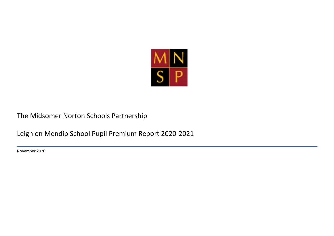

## The Midsomer Norton Schools Partnership

Leigh on Mendip School Pupil Premium Report 2020-2021

November 2020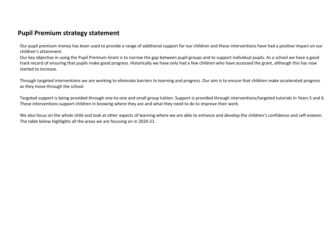## **Pupil Premium strategy statement**

Our pupil premium money has been used to provide a range of additional support for our children and these interventions have had a positive impact on our children's attainment.

Our key objective in using the Pupil Premium Grant is to narrow the gap between pupil groups and to support individual pupils. As a school we have a good track record of ensuring that pupils make good progress. Historically we have only had a few children who have accessed the grant, although this has now started to increase.

Through targeted interventions we are working to eliminate barriers to learning and progress. Our aim is to ensure that children make accelerated progress as they move through the school.

Targeted support is being provided through one-to-one and small group tuition. Support is provided through interventions/targeted tutorials in Years 5 and 6. These interventions support children in knowing where they are and what they need to do to improve their work.

We also focus on the whole child and look at other aspects of learning where we are able to enhance and develop the children's confidence and self-esteem. The table below highlights all the areas we are focusing on in 2020-21.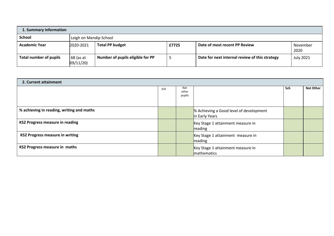| 1. Summary information |                       |                                  |       |                                                |                  |  |
|------------------------|-----------------------|----------------------------------|-------|------------------------------------------------|------------------|--|
| <b>School</b>          |                       | Leigh on Mendip School           |       |                                                |                  |  |
| <b>Academic Year</b>   | 2020-2021             | <b>Total PP budget</b>           | £7725 | Date of most recent PP Review                  | November<br>2020 |  |
| Total number of pupils | 68 (as at<br>09/11/20 | Number of pupils eligible for PP |       | Date for next internal review of this strategy | <b>July 2021</b> |  |

| 2. Current attainment                     |     |                        |                                                           |     |                  |
|-------------------------------------------|-----|------------------------|-----------------------------------------------------------|-----|------------------|
|                                           | Sch | Nat<br>other<br>pupils |                                                           | Sch | <b>Nat Other</b> |
| % achieving in reading, writing and maths |     |                        | % Achieving a Good level of development<br>in Early Years |     |                  |
| <b>KS2 Progress measure in reading</b>    |     |                        | Key Stage 1 attainment measure in<br>reading              |     |                  |
| <b>KS2 Progress measure in writing</b>    |     |                        | Key Stage 1 attainment measure in<br>reading              |     |                  |
| <b>KS2 Progress measure in maths</b>      |     |                        | Key Stage 1 attainment measure in<br>mathematics          |     |                  |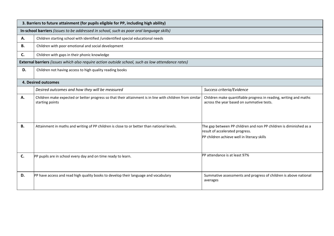|    | 3. Barriers to future attainment (for pupils eligible for PP, including high ability)                                       |                                                                                                                                                      |
|----|-----------------------------------------------------------------------------------------------------------------------------|------------------------------------------------------------------------------------------------------------------------------------------------------|
|    | In-school barriers (issues to be addressed in school, such as poor oral language skills)                                    |                                                                                                                                                      |
| Α. | Children starting school with identified /unidentified special educational needs                                            |                                                                                                                                                      |
| В. | Children with poor emotional and social development                                                                         |                                                                                                                                                      |
| C. | Children with gaps in their phonic knowledge                                                                                |                                                                                                                                                      |
|    | External barriers (issues which also require action outside school, such as low attendance rates)                           |                                                                                                                                                      |
| D. | Children not having access to high quality reading books                                                                    |                                                                                                                                                      |
|    | <b>4. Desired outcomes</b>                                                                                                  |                                                                                                                                                      |
|    |                                                                                                                             |                                                                                                                                                      |
|    | Desired outcomes and how they will be measured                                                                              | Success criteria/Evidence                                                                                                                            |
| Α. | Children make expected or better progress so that their attainment is in line with children from similar<br>starting points | Children make quantifiable progress in reading, writing and maths<br>across the year based on summative tests.                                       |
| В. | Attainment in maths and writing of PP children is close to or better than national levels.                                  | The gap between PP children and non PP children is diminished as a<br>result of accelerated progress.<br>PP children achieve well in literacy skills |
| C. | PP pupils are in school every day and on time ready to learn.                                                               | PP attendance is at least 97%                                                                                                                        |
| D. | PP have access and read high quality books to develop their language and vocabulary                                         | Summative assessments and progress of children is above national<br>averages                                                                         |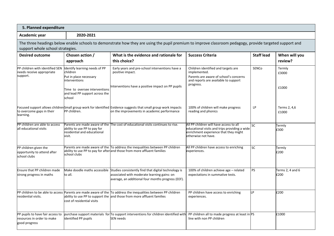| 5. Planned expenditure                                                                                                                                                                      |                                                                                                                                                                           |                                                                                                                                                                                          |                                                                                                                                                          |                   |                          |  |  |
|---------------------------------------------------------------------------------------------------------------------------------------------------------------------------------------------|---------------------------------------------------------------------------------------------------------------------------------------------------------------------------|------------------------------------------------------------------------------------------------------------------------------------------------------------------------------------------|----------------------------------------------------------------------------------------------------------------------------------------------------------|-------------------|--------------------------|--|--|
| Academic year                                                                                                                                                                               | 2020-2021                                                                                                                                                                 |                                                                                                                                                                                          |                                                                                                                                                          |                   |                          |  |  |
| The three headings below enable schools to demonstrate how they are using the pupil premium to improve classroom pedagogy, provide targeted support and<br>support whole school strategies. |                                                                                                                                                                           |                                                                                                                                                                                          |                                                                                                                                                          |                   |                          |  |  |
| <b>Desired outcome</b>                                                                                                                                                                      | Chosen action /<br>approach                                                                                                                                               | What is the evidence and rationale for<br>this choice?                                                                                                                                   | <b>Success Criteria</b>                                                                                                                                  | <b>Staff lead</b> | When will you<br>review? |  |  |
| PP children with identified SEN<br>needs receive appropriate<br>support.                                                                                                                    | Identify learning needs of PP<br>children<br>Put in place necessary<br><b>linterventions</b><br>Time to oversee interventions<br>and lead PP support across the<br>school | Early years and pre-school interventions have a<br>positive impact.<br>Interventions have a positive impact on PP pupils                                                                 | Children identified and targets are<br>implemented.<br>Parents are aware of school's concerns<br>and reports are available to support<br>progress.       | SENCo             | Termly<br>£3000<br>£1000 |  |  |
| to overcome gaps in their<br>learning.                                                                                                                                                      | PP children.                                                                                                                                                              | Focused support allows children Small group work for identified Evidence suggests that small group work impacts<br>on the improvements in academic performance                           | 100% of children will make progress<br>reading and phonics                                                                                               | LP                | Terms 2, 4,6<br>£1000    |  |  |
| PP children are able to access<br>all educational visits                                                                                                                                    | ability to use PP to pay for<br>residential and educational<br>visit.                                                                                                     | Parents are made aware of the The cost of educational visits continues to rise.                                                                                                          | All PP children will have access to all<br>educational visits and trips providing a wide<br>enrichment experience that they might<br>otherwise not have. | <b>SC</b>         | Termly<br>£300           |  |  |
| PP children given the<br>opportunity to attend after<br>school clubs                                                                                                                        | school clubs                                                                                                                                                              | Parents are made aware of the To address the inequalities between PP children<br>ability to use PP to pay for after and those from more affluent families                                | All PP children have access to enriching<br>experiences.                                                                                                 | <b>SC</b>         | Termly<br>£200           |  |  |
| Ensure that PP children made<br>strong progress in maths                                                                                                                                    | to all.                                                                                                                                                                   | Make doodle maths accessible Studies consistently find that digital technology is<br>associated with moderate learning gains: on<br>average, an additional four months progress (EEF).   | 100% of children achieve age - related<br>expectations in summative tests.                                                                               | <b>PS</b>         | Terms 2, 4 and 6<br>£200 |  |  |
| residential visits.                                                                                                                                                                         | cost of residential visits                                                                                                                                                | PP children to be able to access Parents are made aware of the To address the inequalities between PP children<br>ability to use PP to support the and those from more affluent families | PP children have access to enriching<br>experiences.                                                                                                     | P.                | £200                     |  |  |
| PP pupils to have fair access to<br>resources in order to make<br>good progress                                                                                                             | identified PP pupils                                                                                                                                                      | purchase support materials for To support interventions for children identified with<br><b>SEN</b> needs                                                                                 | PP children all to made progress at least in PS<br>line with non PP children                                                                             |                   | £1000                    |  |  |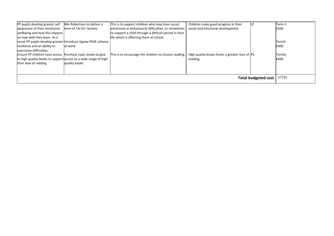| PP pupils develop greater self                                  | Min Robertson to deliver a | This is to support children who may have social,       | Children make good progress in their           |                            | Term 2 |
|-----------------------------------------------------------------|----------------------------|--------------------------------------------------------|------------------------------------------------|----------------------------|--------|
| lawareness of their emotional                                   | term of Tai Chi lessons    | emotional or behavioural difficulties, or sometimes    | social and emotional development.              |                            | £500   |
| wellbeing and how this impacts                                  |                            | to support a child through a difficult period in their |                                                |                            |        |
| on how well they learn. As a                                    |                            | life which is affecting them at school.                |                                                |                            |        |
| result PP pupils develop greater Introduce Jigsaw PSHE scheme   |                            |                                                        |                                                |                            | Term4  |
| resilience and an ability to                                    | of work.                   |                                                        |                                                |                            | £400   |
| overcome difficulties.                                          |                            |                                                        |                                                |                            |        |
| Ensure PP children have access Purchase topic books to give     |                            | This is to encourage the children to choose reading.   | High quality books foster a greater love of PS |                            | Termly |
| to high quality books to support access to a wide range of high |                            |                                                        | reading.                                       |                            | £400   |
| their love of reading                                           | quality books.             |                                                        |                                                |                            |        |
|                                                                 |                            |                                                        |                                                |                            |        |
|                                                                 |                            |                                                        |                                                |                            |        |
|                                                                 |                            |                                                        |                                                | <b>Total budgeted cost</b> | £7725  |
|                                                                 |                            |                                                        |                                                |                            |        |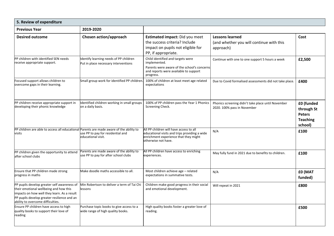| 5. Review of expenditure                                                                                                                                                                                                 |                                                                                  |                                                                                                                                                          |                                                                                   |                                                                         |  |  |  |
|--------------------------------------------------------------------------------------------------------------------------------------------------------------------------------------------------------------------------|----------------------------------------------------------------------------------|----------------------------------------------------------------------------------------------------------------------------------------------------------|-----------------------------------------------------------------------------------|-------------------------------------------------------------------------|--|--|--|
| <b>Previous Year</b>                                                                                                                                                                                                     | 2019-2020                                                                        |                                                                                                                                                          |                                                                                   |                                                                         |  |  |  |
| <b>Desired outcome</b>                                                                                                                                                                                                   | <b>Chosen action/approach</b>                                                    | Estimated impact: Did you meet<br>the success criteria? Include<br>impact on pupils not eligible for<br>PP, if appropriate.                              | <b>Lessons learned</b><br>(and whether you will continue with this<br>approach)   | Cost                                                                    |  |  |  |
| PP children with identified SEN needs<br>receive appropriate support.                                                                                                                                                    | Identify learning needs of PP children<br>Put in place necessary interventions   | Child identified and targets were<br>implemented.<br>Parents were aware of the school's concerns<br>and reports were available to support<br>progress.   | Continue with one to one support 5 hours a week                                   | £2,500                                                                  |  |  |  |
| Focused support allows children to<br>overcome gaps in their learning.                                                                                                                                                   | Small group work for identified PP children.                                     | 100% of children at least meet age related<br>expectations                                                                                               | Due to Covid formalised assessments did not take place.                           | £400                                                                    |  |  |  |
| PP children receive appropriate support in<br>developing their phonic knowledge                                                                                                                                          | Identified children working in small groups<br>on a daily basis.                 | 100% of PP children pass the Year 1 Phonics<br>Screening Check.                                                                                          | Phonics screening didn't take place until November<br>2020. 100% pass in November | £0 (funded<br>through St<br><b>Peters</b><br><b>Teaching</b><br>school) |  |  |  |
| PP children are able to access all educational Parents are made aware of the ability to<br>visits                                                                                                                        | use PP to pay for residential and<br>educational visit.                          | All PP children will have access to all<br>educational visits and trips providing a wide<br>enrichment experience that they might<br>otherwise not have. | N/A                                                                               | £100                                                                    |  |  |  |
| PP children given the opportunity to attend<br>after school clubs                                                                                                                                                        | Parents are made aware of the ability to<br>use PP to pay for after school clubs | All PP children have access to enriching<br>experiences.                                                                                                 | May fully fund in 2021 due to benefits to children.                               | £100                                                                    |  |  |  |
| Ensure that PP children made strong<br>progress in maths                                                                                                                                                                 | Make doodle maths accessible to all.                                             | Most children achieve age - related<br>expectations in summative tests.                                                                                  | N/A                                                                               | <b>£0 (MAT</b><br>funded)                                               |  |  |  |
| PP pupils develop greater self awareness of<br>their emotional wellbeing and how this<br>impacts on how well they learn. As a result<br>PP pupils develop greater resilience and an<br>ability to overcome difficulties. | Min Robertson to deliver a term of Tai Chi<br>lessons                            | Children make good progress in their social<br>and emotional development.                                                                                | Will repeat in 2021                                                               | £800                                                                    |  |  |  |
| Ensure PP children have access to high<br>quality books to support their love of<br>reading                                                                                                                              | Purchase topic books to give access to a<br>wide range of high quality books.    | High quality books foster a greater love of<br>reading.                                                                                                  |                                                                                   | £500                                                                    |  |  |  |